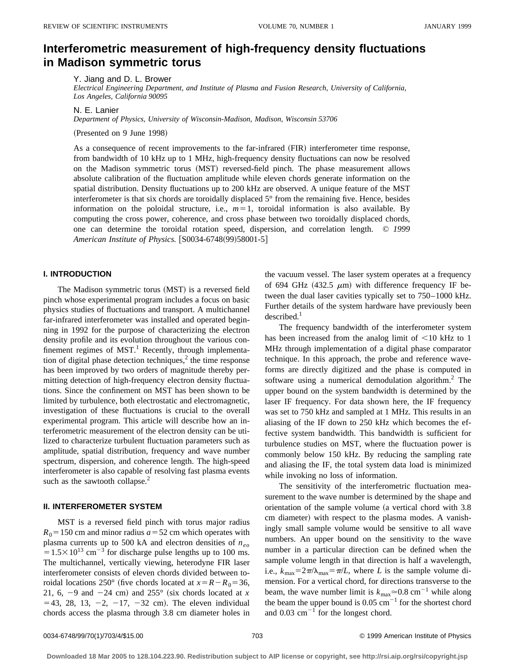# **Interferometric measurement of high-frequency density fluctuations in Madison symmetric torus**

Y. Jiang and D. L. Brower

*Electrical Engineering Department, and Institute of Plasma and Fusion Research, University of California, Los Angeles, California 90095*

N. E. Lanier

*Department of Physics, University of Wisconsin-Madison, Madison, Wisconsin 53706*

(Presented on 9 June 1998)

As a consequence of recent improvements to the far-infrared (FIR) interferometer time response, from bandwidth of 10 kHz up to 1 MHz, high-frequency density fluctuations can now be resolved on the Madison symmetric torus (MST) reversed-field pinch. The phase measurement allows absolute calibration of the fluctuation amplitude while eleven chords generate information on the spatial distribution. Density fluctuations up to 200 kHz are observed. A unique feature of the MST interferometer is that six chords are toroidally displaced 5° from the remaining five. Hence, besides information on the poloidal structure, i.e.,  $m=1$ , toroidal information is also available. By computing the cross power, coherence, and cross phase between two toroidally displaced chords, one can determine the toroidal rotation speed, dispersion, and correlation length. © *1999 American Institute of Physics.* [S0034-6748(99)58001-5]

### **I. INTRODUCTION**

The Madison symmetric torus (MST) is a reversed field pinch whose experimental program includes a focus on basic physics studies of fluctuations and transport. A multichannel far-infrared interferometer was installed and operated beginning in 1992 for the purpose of characterizing the electron density profile and its evolution throughout the various confinement regimes of  $MST$ <sup>1</sup>. Recently, through implementation of digital phase detection techniques, $<sup>2</sup>$  the time response</sup> has been improved by two orders of magnitude thereby permitting detection of high-frequency electron density fluctuations. Since the confinement on MST has been shown to be limited by turbulence, both electrostatic and electromagnetic, investigation of these fluctuations is crucial to the overall experimental program. This article will describe how an interferometric measurement of the electron density can be utilized to characterize turbulent fluctuation parameters such as amplitude, spatial distribution, frequency and wave number spectrum, dispersion, and coherence length. The high-speed interferometer is also capable of resolving fast plasma events such as the sawtooth collapse. $<sup>2</sup>$ </sup>

#### **II. INTERFEROMETER SYSTEM**

MST is a reversed field pinch with torus major radius  $R_0$  = 150 cm and minor radius  $a$  = 52 cm which operates with plasma currents up to 500 kA and electron densities of  $n_{eq}$  $=1.5\times10^{13}$  cm<sup>-3</sup> for discharge pulse lengths up to 100 ms. The multichannel, vertically viewing, heterodyne FIR laser interferometer consists of eleven chords divided between toroidal locations 250° (five chords located at  $x = R - R_0 = 36$ , 21, 6,  $-9$  and  $-24$  cm) and  $255^{\circ}$  (six chords located at *x*  $= 43, 28, 13, -2, -17, -32$  cm). The eleven individual chords access the plasma through 3.8 cm diameter holes in the vacuum vessel. The laser system operates at a frequency of 694 GHz (432.5  $\mu$ m) with difference frequency IF between the dual laser cavities typically set to 750–1000 kHz. Further details of the system hardware have previously been  $described.<sup>1</sup>$ 

The frequency bandwidth of the interferometer system has been increased from the analog limit of  $\leq 10$  kHz to 1 MHz through implementation of a digital phase comparator technique. In this approach, the probe and reference waveforms are directly digitized and the phase is computed in software using a numerical demodulation algorithm.<sup>2</sup> The upper bound on the system bandwidth is determined by the laser IF frequency. For data shown here, the IF frequency was set to 750 kHz and sampled at 1 MHz. This results in an aliasing of the IF down to 250 kHz which becomes the effective system bandwidth. This bandwidth is sufficient for turbulence studies on MST, where the fluctuation power is commonly below 150 kHz. By reducing the sampling rate and aliasing the IF, the total system data load is minimized while invoking no loss of information.

The sensitivity of the interferometric fluctuation measurement to the wave number is determined by the shape and orientation of the sample volume (a vertical chord with  $3.8$ cm diameter) with respect to the plasma modes. A vanishingly small sample volume would be sensitive to all wave numbers. An upper bound on the sensitivity to the wave number in a particular direction can be defined when the sample volume length in that direction is half a wavelength, i.e.,  $k_{\text{max}}=2\pi/\lambda_{\text{max}}=\pi/L$ , where *L* is the sample volume dimension. For a vertical chord, for directions transverse to the beam, the wave number limit is  $k_{\text{max}} \approx 0.8 \text{ cm}^{-1}$  while along the beam the upper bound is  $0.05 \text{ cm}^{-1}$  for the shortest chord and  $0.03$  cm<sup> $-1$ </sup> for the longest chord.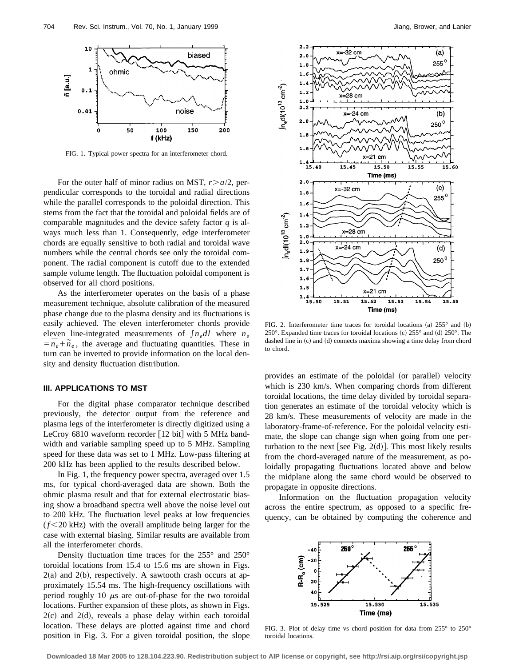

FIG. 1. Typical power spectra for an interferometer chord.

For the outer half of minor radius on MST,  $r > a/2$ , perpendicular corresponds to the toroidal and radial directions while the parallel corresponds to the poloidal direction. This stems from the fact that the toroidal and poloidal fields are of comparable magnitudes and the device safety factor *q* is always much less than 1. Consequently, edge interferometer chords are equally sensitive to both radial and toroidal wave numbers while the central chords see only the toroidal component. The radial component is cutoff due to the extended sample volume length. The fluctuation poloidal component is observed for all chord positions.

As the interferometer operates on the basis of a phase measurement technique, absolute calibration of the measured phase change due to the plasma density and its fluctuations is easily achieved. The eleven interferometer chords provide eleven line-integrated measurements of  $\int n_e dl$  where  $n_e$  $= \overline{n}_e + \widetilde{n}_e$ , the average and fluctuating quantities. These in turn can be inverted to provide information on the local density and density fluctuation distribution.

# **III. APPLICATIONS TO MST**

For the digital phase comparator technique described previously, the detector output from the reference and plasma legs of the interferometer is directly digitized using a LeCroy  $6810$  waveform recorder  $[12$  bit] with 5 MHz bandwidth and variable sampling speed up to 5 MHz. Sampling speed for these data was set to 1 MHz. Low-pass filtering at 200 kHz has been applied to the results described below.

In Fig. 1, the frequency power spectra, averaged over 1.5 ms, for typical chord-averaged data are shown. Both the ohmic plasma result and that for external electrostatic biasing show a broadband spectra well above the noise level out to 200 kHz. The fluctuation level peaks at low frequencies  $(f<20$  kHz) with the overall amplitude being larger for the case with external biasing. Similar results are available from all the interferometer chords.

Density fluctuation time traces for the 255° and 250° toroidal locations from 15.4 to 15.6 ms are shown in Figs.  $2(a)$  and  $2(b)$ , respectively. A sawtooth crash occurs at approximately 15.54 ms. The high-frequency oscillations with period roughly 10  $\mu$ s are out-of-phase for the two toroidal locations. Further expansion of these plots, as shown in Figs.  $2(c)$  and  $2(d)$ , reveals a phase delay within each toroidal location. These delays are plotted against time and chord position in Fig. 3. For a given toroidal position, the slope



FIG. 2. Interferometer time traces for toroidal locations (a)  $255^\circ$  and (b) 250 $^{\circ}$ . Expanded time traces for toroidal locations (c) 255 $^{\circ}$  and (d) 250 $^{\circ}$ . The dashed line in (c) and (d) connects maxima showing a time delay from chord to chord.

provides an estimate of the poloidal (or parallel) velocity which is 230 km/s. When comparing chords from different toroidal locations, the time delay divided by toroidal separation generates an estimate of the toroidal velocity which is 28 km/s. These measurements of velocity are made in the laboratory-frame-of-reference. For the poloidal velocity estimate, the slope can change sign when going from one perturbation to the next [see Fig. 2(d)]. This most likely results from the chord-averaged nature of the measurement, as poloidally propagating fluctuations located above and below the midplane along the same chord would be observed to propagate in opposite directions.

Information on the fluctuation propagation velocity across the entire spectrum, as opposed to a specific frequency, can be obtained by computing the coherence and



FIG. 3. Plot of delay time vs chord position for data from 255° to 250° toroidal locations.

**Downloaded 18 Mar 2005 to 128.104.223.90. Redistribution subject to AIP license or copyright, see http://rsi.aip.org/rsi/copyright.jsp**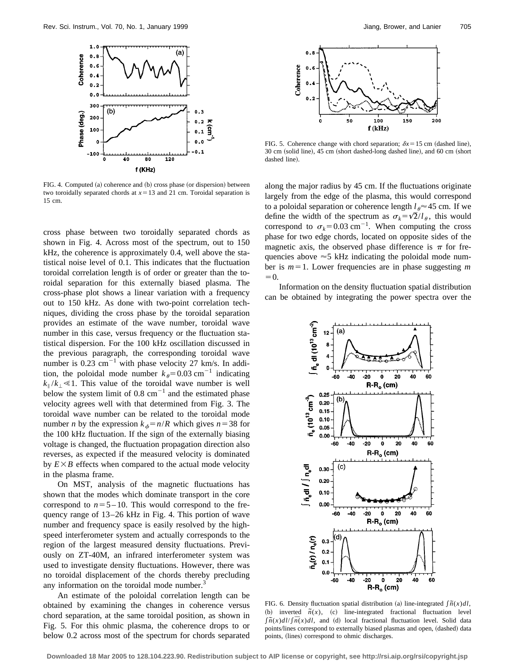

FIG. 4. Computed  $(a)$  coherence and  $(b)$  cross phase  $(a)$  dispersion) between two toroidally separated chords at  $x=13$  and 21 cm. Toroidal separation is 15 cm.

cross phase between two toroidally separated chords as shown in Fig. 4. Across most of the spectrum, out to 150 kHz, the coherence is approximately 0.4, well above the statistical noise level of 0.1. This indicates that the fluctuation toroidal correlation length is of order or greater than the toroidal separation for this externally biased plasma. The cross-phase plot shows a linear variation with a frequency out to 150 kHz. As done with two-point correlation techniques, dividing the cross phase by the toroidal separation provides an estimate of the wave number, toroidal wave number in this case, versus frequency or the fluctuation statistical dispersion. For the 100 kHz oscillation discussed in the previous paragraph, the corresponding toroidal wave number is  $0.23 \text{ cm}^{-1}$  with phase velocity 27 km/s. In addition, the poloidal mode number  $k_{\theta} = 0.03 \text{ cm}^{-1}$  indicating  $k_{\parallel}/k_{\perp} \ll 1$ . This value of the toroidal wave number is well below the system limit of  $0.8 \text{ cm}^{-1}$  and the estimated phase velocity agrees well with that determined from Fig. 3. The toroidal wave number can be related to the toroidal mode number *n* by the expression  $k_{\phi} = n/R$  which gives  $n = 38$  for the 100 kHz fluctuation. If the sign of the externally biasing voltage is changed, the fluctuation propagation direction also reverses, as expected if the measured velocity is dominated by  $E \times B$  effects when compared to the actual mode velocity in the plasma frame.

On MST, analysis of the magnetic fluctuations has shown that the modes which dominate transport in the core correspond to  $n=5-10$ . This would correspond to the frequency range of 13–26 kHz in Fig. 4. This portion of wave number and frequency space is easily resolved by the highspeed interferometer system and actually corresponds to the region of the largest measured density fluctuations. Previously on ZT-40M, an infrared interferometer system was used to investigate density fluctuations. However, there was no toroidal displacement of the chords thereby precluding any information on the toroidal mode number.<sup>3</sup>

An estimate of the poloidal correlation length can be obtained by examining the changes in coherence versus chord separation, at the same toroidal position, as shown in Fig. 5. For this ohmic plasma, the coherence drops to or below 0.2 across most of the spectrum for chords separated



FIG. 5. Coherence change with chord separation;  $\delta x = 15$  cm (dashed line), 30 cm (solid line), 45 cm (short dashed-long dashed line), and 60 cm (short dashed line).

along the major radius by 45 cm. If the fluctuations originate largely from the edge of the plasma, this would correspond to a poloidal separation or coherence length  $l_{\theta} \approx 45$  cm. If we define the width of the spectrum as  $\sigma_k = \sqrt{2}/l_\theta$ , this would correspond to  $\sigma_k = 0.03$  cm<sup>-1</sup>. When computing the cross phase for two edge chords, located on opposite sides of the magnetic axis, the observed phase difference is  $\pi$  for frequencies above  $\approx$  5 kHz indicating the poloidal mode number is  $m=1$ . Lower frequencies are in phase suggesting *m*  $=0.$ 

Information on the density fluctuation spatial distribution can be obtained by integrating the power spectra over the



FIG. 6. Density fluctuation spatial distribution (a) line-integrated  $\int \tilde{n}(x) dI$ ,  $\tilde{n}(x)$ ,  $\tilde{n}(x)$ ,  $\tilde{n}(x)$ ,  $\tilde{n}(x)$  line-integrated fractional fluctuation level  $\int \tilde{n}(x) d\ell / \int \overline{n}(x) d\ell$ , and (d) local fractional fluctuation level. Solid data points/lines correspond to externally biased plasmas and open, (dashed) data points, (lines) correspond to ohmic discharges.